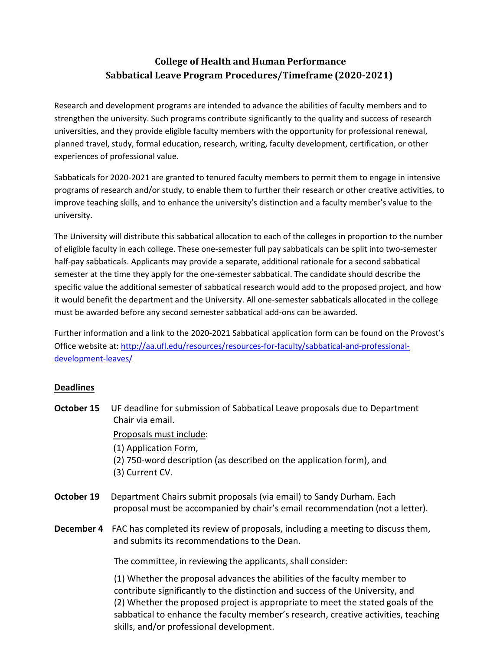## **College of Health and Human Performance Sabbatical Leave Program Procedures/Timeframe (2020-2021)**

Research and development programs are intended to advance the abilities of faculty members and to strengthen the university. Such programs contribute significantly to the quality and success of research universities, and they provide eligible faculty members with the opportunity for professional renewal, planned travel, study, formal education, research, writing, faculty development, certification, or other experiences of professional value.

Sabbaticals for 2020-2021 are granted to tenured faculty members to permit them to engage in intensive programs of research and/or study, to enable them to further their research or other creative activities, to improve teaching skills, and to enhance the university's distinction and a faculty member's value to the university.

The University will distribute this sabbatical allocation to each of the colleges in proportion to the number of eligible faculty in each college. These one-semester full pay sabbaticals can be split into two-semester half-pay sabbaticals. Applicants may provide a separate, additional rationale for a second sabbatical semester at the time they apply for the one-semester sabbatical. The candidate should describe the specific value the additional semester of sabbatical research would add to the proposed project, and how it would benefit the department and the University. All one-semester sabbaticals allocated in the college must be awarded before any second semester sabbatical add-ons can be awarded.

Further information and a link to the 2020-2021 Sabbatical application form can be found on the Provost's Office website at: [http://aa.ufl.edu/resources/resources-for-faculty/sabbatical-and-professional](http://aa.ufl.edu/resources/resources-for-faculty/sabbatical-and-professional-development-leaves/)[development-leaves/](http://aa.ufl.edu/resources/resources-for-faculty/sabbatical-and-professional-development-leaves/)

## **Deadlines**

- **October 15** UF deadline for submission of Sabbatical Leave proposals due to Department Chair via email. Proposals must include: (1) Application Form, (2) 750-word description (as described on the application form), and (3) Current CV.
- **October 19** Department Chairs submit proposals (via email) to Sandy Durham. Each proposal must be accompanied by chair's email recommendation (not a letter).
- **December 4** FAC has completed its review of proposals, including a meeting to discuss them, and submits its recommendations to the Dean.

The committee, in reviewing the applicants, shall consider:

(1) Whether the proposal advances the abilities of the faculty member to contribute significantly to the distinction and success of the University, and (2) Whether the proposed project is appropriate to meet the stated goals of the sabbatical to enhance the faculty member's research, creative activities, teaching skills, and/or professional development.